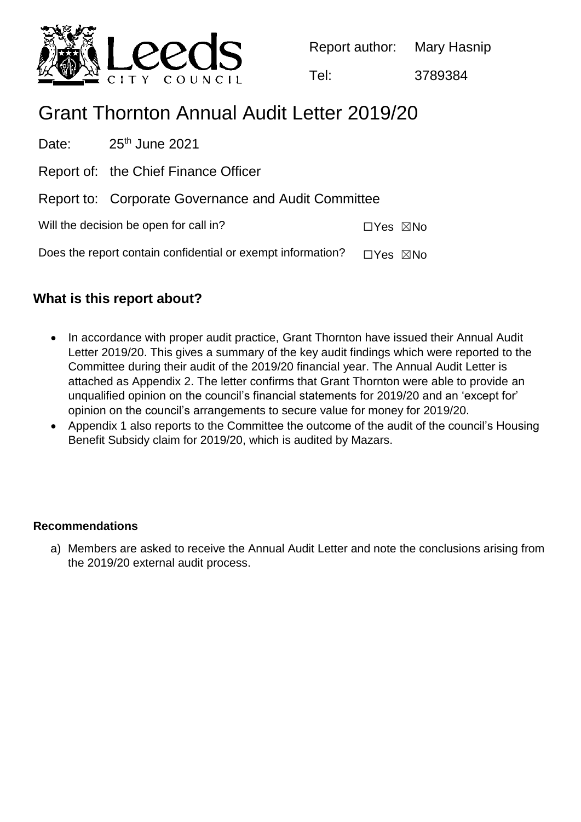

Report author: Mary Hasnip

Tel: 3789384

# Grant Thornton Annual Audit Letter 2019/20

Date:  $25<sup>th</sup>$  June 2021 Report of: the Chief Finance Officer Report to: Corporate Governance and Audit Committee Will the decision be open for call in? ☐Yes ☒No Does the report contain confidential or exempt information?  $\Box$ Yes  $\boxtimes$ No

## **What is this report about?**

- In accordance with proper audit practice, Grant Thornton have issued their Annual Audit Letter 2019/20. This gives a summary of the key audit findings which were reported to the Committee during their audit of the 2019/20 financial year. The Annual Audit Letter is attached as Appendix 2. The letter confirms that Grant Thornton were able to provide an unqualified opinion on the council's financial statements for 2019/20 and an 'except for' opinion on the council's arrangements to secure value for money for 2019/20.
- Appendix 1 also reports to the Committee the outcome of the audit of the council's Housing Benefit Subsidy claim for 2019/20, which is audited by Mazars.

### **Recommendations**

a) Members are asked to receive the Annual Audit Letter and note the conclusions arising from the 2019/20 external audit process.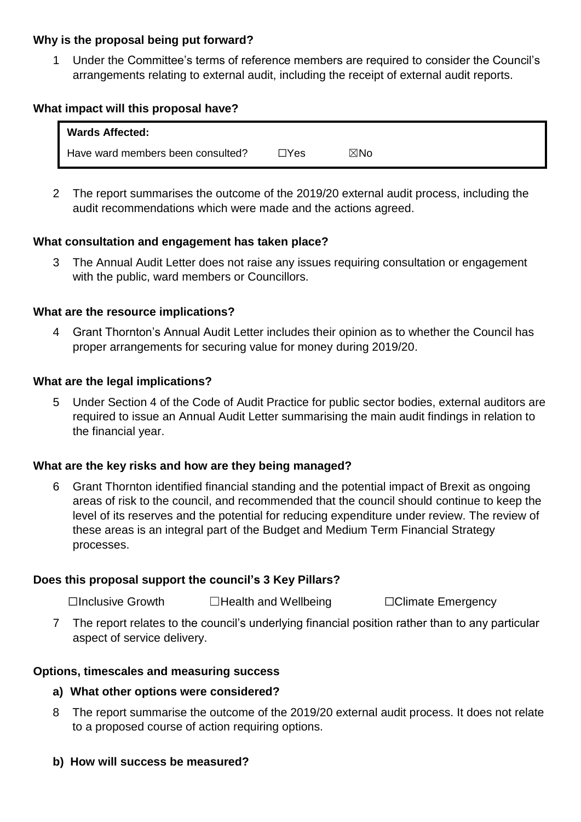#### **Why is the proposal being put forward?**

1 Under the Committee's terms of reference members are required to consider the Council's arrangements relating to external audit, including the receipt of external audit reports.

#### **What impact will this proposal have?**

| <b>Wards Affected:</b>            |            |     |  |
|-----------------------------------|------------|-----|--|
| Have ward members been consulted? | $\Box$ Yes | ⊠No |  |

2 The report summarises the outcome of the 2019/20 external audit process, including the audit recommendations which were made and the actions agreed.

#### **What consultation and engagement has taken place?**

3 The Annual Audit Letter does not raise any issues requiring consultation or engagement with the public, ward members or Councillors.

#### **What are the resource implications?**

4 Grant Thornton's Annual Audit Letter includes their opinion as to whether the Council has proper arrangements for securing value for money during 2019/20.

#### **What are the legal implications?**

5 Under Section 4 of the Code of Audit Practice for public sector bodies, external auditors are required to issue an Annual Audit Letter summarising the main audit findings in relation to the financial year.

#### **What are the key risks and how are they being managed?**

6 Grant Thornton identified financial standing and the potential impact of Brexit as ongoing areas of risk to the council, and recommended that the council should continue to keep the level of its reserves and the potential for reducing expenditure under review. The review of these areas is an integral part of the Budget and Medium Term Financial Strategy processes.

#### **Does this proposal support the council's 3 Key Pillars?**

☐Inclusive Growth ☐Health and Wellbeing ☐Climate Emergency

7 The report relates to the council's underlying financial position rather than to any particular aspect of service delivery.

#### **Options, timescales and measuring success**

- **a) What other options were considered?**
- 8 The report summarise the outcome of the 2019/20 external audit process. It does not relate to a proposed course of action requiring options.

#### **b) How will success be measured?**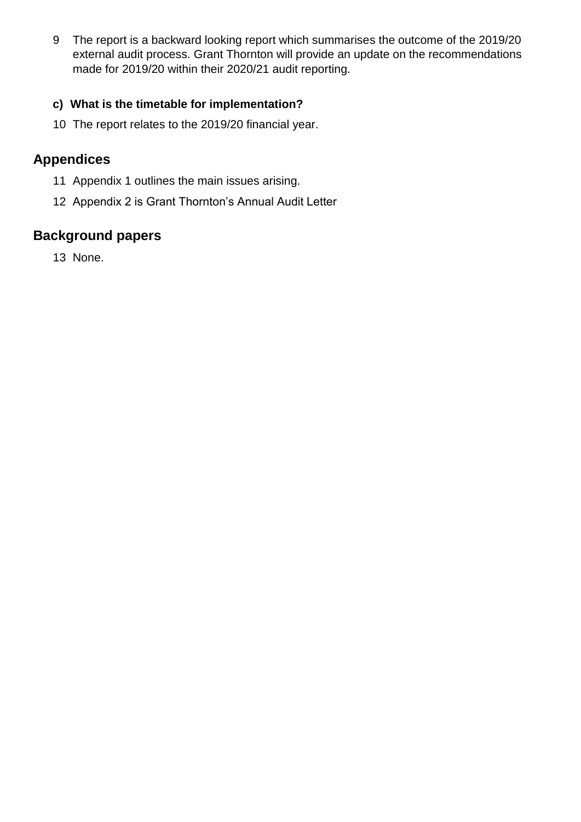9 The report is a backward looking report which summarises the outcome of the 2019/20 external audit process. Grant Thornton will provide an update on the recommendations made for 2019/20 within their 2020/21 audit reporting.

## **c) What is the timetable for implementation?**

10 The report relates to the 2019/20 financial year.

## **Appendices**

- 11 Appendix 1 outlines the main issues arising.
- 12 Appendix 2 is Grant Thornton's Annual Audit Letter

# **Background papers**

13 None.